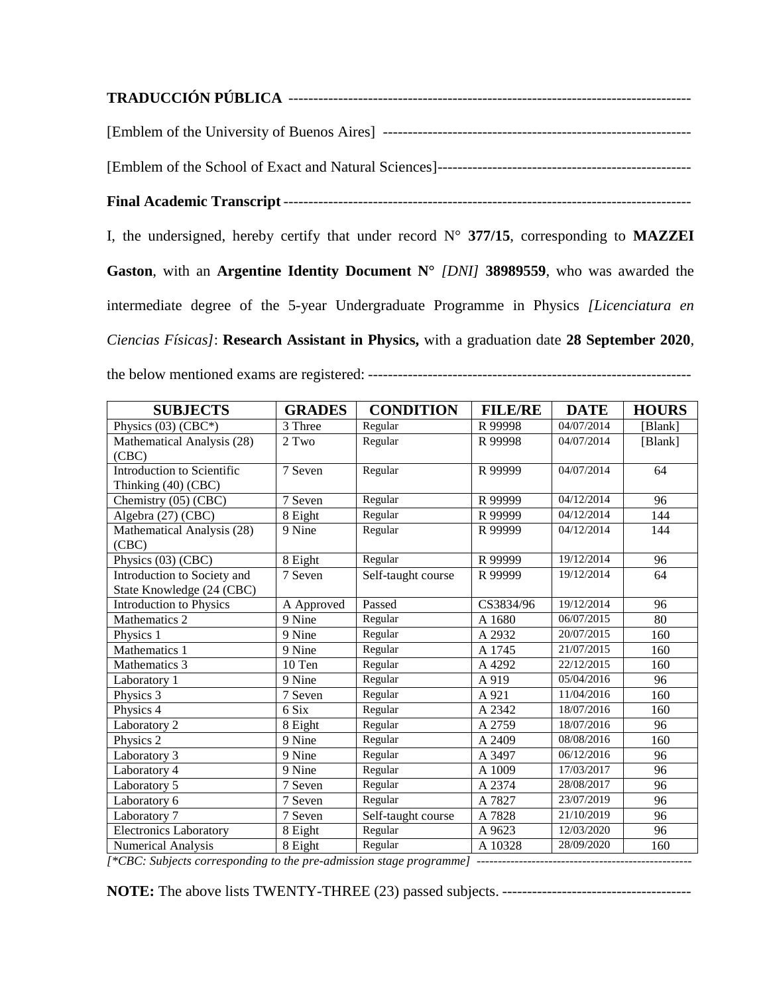| I, the undersigned, hereby certify that under record $N^{\circ}$ 377/15, corresponding to <b>MAZZEI</b> |
|---------------------------------------------------------------------------------------------------------|
| Gaston, with an Argentine Identity Document $N^{\circ}$ [DNI] 38989559, who was awarded the             |
| intermediate degree of the 5-year Undergraduate Programme in Physics <i>[Licenciatura en</i> ]          |
| Ciencias Físicas]: Research Assistant in Physics, with a graduation date 28 September 2020,             |
|                                                                                                         |

| <b>SUBJECTS</b>                                                 | <b>GRADES</b> | <b>CONDITION</b>   | <b>FILE/RE</b> | <b>DATE</b> | <b>HOURS</b> |
|-----------------------------------------------------------------|---------------|--------------------|----------------|-------------|--------------|
| Physics (03) (CBC*)                                             | 3 Three       | Regular            | R 99998        | 04/07/2014  | [Blank]      |
| Mathematical Analysis (28)                                      | 2 Two         | Regular            | R 99998        | 04/07/2014  | [Blank]      |
| (CBC)                                                           |               |                    |                |             |              |
| Introduction to Scientific                                      | 7 Seven       | Regular            | R 99999        | 04/07/2014  | 64           |
| Thinking (40) (CBC)                                             |               |                    |                |             |              |
| Chemistry $(05)$ (CBC)                                          | 7 Seven       | Regular            | R 99999        | 04/12/2014  | 96           |
| Algebra (27) (CBC)                                              | 8 Eight       | Regular            | R 99999        | 04/12/2014  | 144          |
| Mathematical Analysis (28)                                      | 9 Nine        | Regular            | R 99999        | 04/12/2014  | 144          |
| (CBC)                                                           |               |                    |                |             |              |
| Physics (03) (CBC)                                              | 8 Eight       | Regular            | R 99999        | 19/12/2014  | 96           |
| Introduction to Society and                                     | 7 Seven       | Self-taught course | R 99999        | 19/12/2014  | 64           |
| State Knowledge (24 (CBC)                                       |               |                    |                |             |              |
| Introduction to Physics                                         | A Approved    | Passed             | CS3834/96      | 19/12/2014  | 96           |
| Mathematics 2                                                   | 9 Nine        | Regular            | A 1680         | 06/07/2015  | 80           |
| Physics 1                                                       | 9 Nine        | Regular            | A 2932         | 20/07/2015  | 160          |
| Mathematics 1                                                   | 9 Nine        | Regular            | A 1745         | 21/07/2015  | 160          |
| Mathematics 3                                                   | 10 Ten        | Regular            | A 4292         | 22/12/2015  | 160          |
| Laboratory 1                                                    | 9 Nine        | Regular            | A 919          | 05/04/2016  | 96           |
| Physics 3                                                       | 7 Seven       | Regular            | A 921          | 11/04/2016  | 160          |
| Physics 4                                                       | 6 Six         | Regular            | A 2342         | 18/07/2016  | 160          |
| Laboratory 2                                                    | 8 Eight       | Regular            | A 2759         | 18/07/2016  | 96           |
| Physics 2                                                       | 9 Nine        | Regular            | A 2409         | 08/08/2016  | 160          |
| Laboratory 3                                                    | 9 Nine        | Regular            | A 3497         | 06/12/2016  | 96           |
| Laboratory 4                                                    | 9 Nine        | Regular            | A 1009         | 17/03/2017  | 96           |
| Laboratory 5                                                    | 7 Seven       | Regular            | A 2374         | 28/08/2017  | 96           |
| Laboratory 6                                                    | 7 Seven       | Regular            | A 7827         | 23/07/2019  | 96           |
| Laboratory 7                                                    | 7 Seven       | Self-taught course | A 7828         | 21/10/2019  | 96           |
| Electronics Laboratory                                          | 8 Eight       | Regular            | A 9623         | 12/03/2020  | 96           |
| Numerical Analysis<br>$\sim$ $\sim$ $\sim$ $\sim$ $\sim$ $\sim$ | 8 Eight       | Regular            | A 10328        | 28/09/2020  | 160          |

*[\*CBC: Subjects corresponding to the pre-admission stage programme] ---------------------------------------------------*

**NOTE:** The above lists TWENTY-THREE (23) passed subjects. --------------------------------------